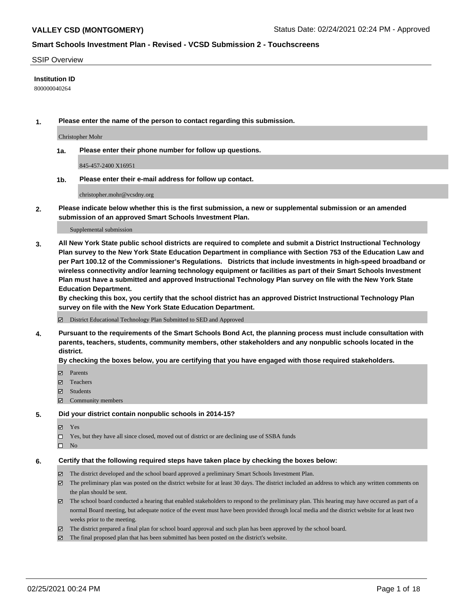#### SSIP Overview

#### **Institution ID**

800000040264

**1. Please enter the name of the person to contact regarding this submission.**

Christopher Mohr

**1a. Please enter their phone number for follow up questions.**

845-457-2400 X16951

**1b. Please enter their e-mail address for follow up contact.**

christopher.mohr@vcsdny.org

**2. Please indicate below whether this is the first submission, a new or supplemental submission or an amended submission of an approved Smart Schools Investment Plan.**

#### Supplemental submission

**3. All New York State public school districts are required to complete and submit a District Instructional Technology Plan survey to the New York State Education Department in compliance with Section 753 of the Education Law and per Part 100.12 of the Commissioner's Regulations. Districts that include investments in high-speed broadband or wireless connectivity and/or learning technology equipment or facilities as part of their Smart Schools Investment Plan must have a submitted and approved Instructional Technology Plan survey on file with the New York State Education Department.** 

**By checking this box, you certify that the school district has an approved District Instructional Technology Plan survey on file with the New York State Education Department.**

District Educational Technology Plan Submitted to SED and Approved

**4. Pursuant to the requirements of the Smart Schools Bond Act, the planning process must include consultation with parents, teachers, students, community members, other stakeholders and any nonpublic schools located in the district.** 

#### **By checking the boxes below, you are certifying that you have engaged with those required stakeholders.**

- **Ø** Parents
- Teachers
- Students
- $\Xi$  Community members

#### **5. Did your district contain nonpublic schools in 2014-15?**

- Yes
- □ Yes, but they have all since closed, moved out of district or are declining use of SSBA funds
- $\hfill \square$  No

#### **6. Certify that the following required steps have taken place by checking the boxes below:**

- The district developed and the school board approved a preliminary Smart Schools Investment Plan.
- The preliminary plan was posted on the district website for at least 30 days. The district included an address to which any written comments on the plan should be sent.
- The school board conducted a hearing that enabled stakeholders to respond to the preliminary plan. This hearing may have occured as part of a normal Board meeting, but adequate notice of the event must have been provided through local media and the district website for at least two weeks prior to the meeting.
- The district prepared a final plan for school board approval and such plan has been approved by the school board.
- $\boxtimes$  The final proposed plan that has been submitted has been posted on the district's website.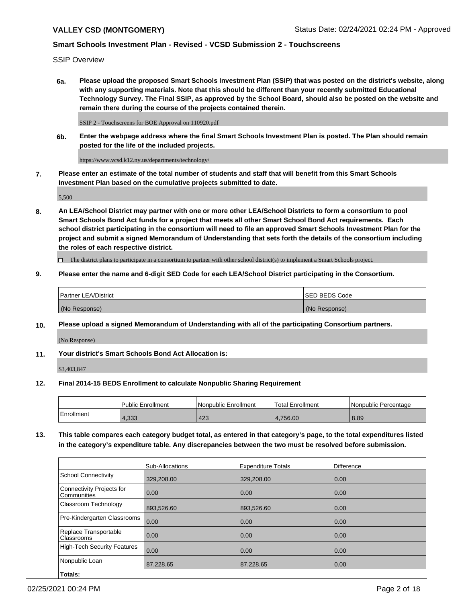SSIP Overview

**6a. Please upload the proposed Smart Schools Investment Plan (SSIP) that was posted on the district's website, along with any supporting materials. Note that this should be different than your recently submitted Educational Technology Survey. The Final SSIP, as approved by the School Board, should also be posted on the website and remain there during the course of the projects contained therein.**

SSIP 2 - Touchscreens for BOE Approval on 110920.pdf

**6b. Enter the webpage address where the final Smart Schools Investment Plan is posted. The Plan should remain posted for the life of the included projects.**

https://www.vcsd.k12.ny.us/departments/technology/

**7. Please enter an estimate of the total number of students and staff that will benefit from this Smart Schools Investment Plan based on the cumulative projects submitted to date.**

5,500

**8. An LEA/School District may partner with one or more other LEA/School Districts to form a consortium to pool Smart Schools Bond Act funds for a project that meets all other Smart School Bond Act requirements. Each school district participating in the consortium will need to file an approved Smart Schools Investment Plan for the project and submit a signed Memorandum of Understanding that sets forth the details of the consortium including the roles of each respective district.**

 $\Box$  The district plans to participate in a consortium to partner with other school district(s) to implement a Smart Schools project.

### **9. Please enter the name and 6-digit SED Code for each LEA/School District participating in the Consortium.**

| <sup>1</sup> Partner LEA/District | ISED BEDS Code |
|-----------------------------------|----------------|
| (No Response)                     | (No Response)  |

### **10. Please upload a signed Memorandum of Understanding with all of the participating Consortium partners.**

(No Response)

**11. Your district's Smart Schools Bond Act Allocation is:**

\$3,403,847

### **12. Final 2014-15 BEDS Enrollment to calculate Nonpublic Sharing Requirement**

|            | Public Enrollment | Nonpublic Enrollment | Total Enrollment | I Nonpublic Percentage |
|------------|-------------------|----------------------|------------------|------------------------|
| Enrollment | 4.333             | 423                  | 4.756.00         | 8.89                   |

**13. This table compares each category budget total, as entered in that category's page, to the total expenditures listed in the category's expenditure table. Any discrepancies between the two must be resolved before submission.**

|                                          | <b>Sub-Allocations</b> | <b>Expenditure Totals</b> | <b>Difference</b> |
|------------------------------------------|------------------------|---------------------------|-------------------|
| <b>School Connectivity</b>               | 329,208.00             | 329,208.00                | 0.00              |
| Connectivity Projects for<br>Communities | 0.00                   | 0.00                      | 0.00              |
| Classroom Technology                     | 893,526.60             | 893,526.60                | 0.00              |
| Pre-Kindergarten Classrooms              | 0.00                   | 0.00                      | 0.00              |
| Replace Transportable<br>Classrooms      | 0.00                   | 0.00                      | 0.00              |
| <b>High-Tech Security Features</b>       | 0.00                   | 0.00                      | 0.00              |
| Nonpublic Loan                           | 87,228.65              | 87,228.65                 | 0.00              |
| Totals:                                  |                        |                           |                   |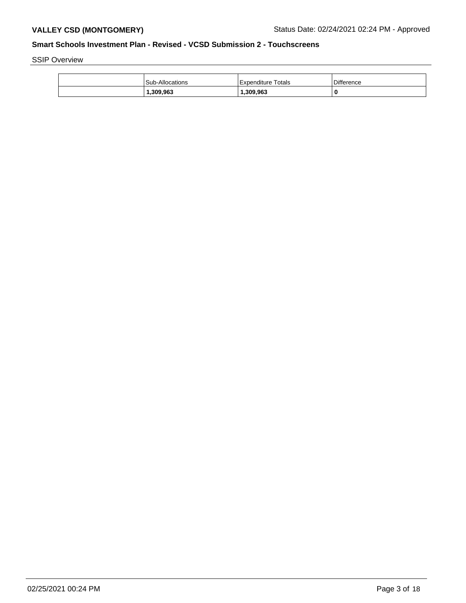SSIP Overview

| <b>Sub-Allocations</b> | Expenditure Totals | <b>Difference</b> |
|------------------------|--------------------|-------------------|
| 309,963,،              | 1.309.963          |                   |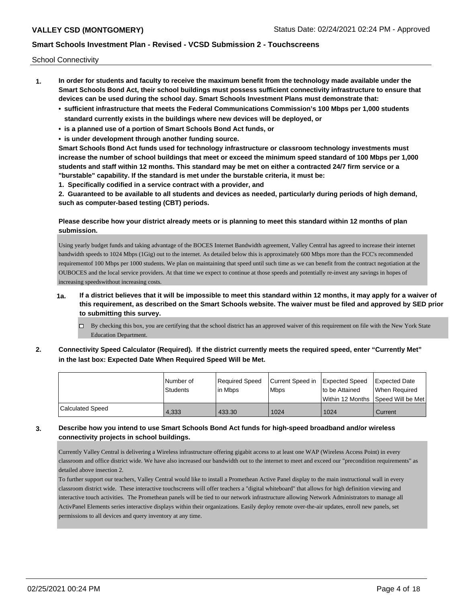School Connectivity

- **1. In order for students and faculty to receive the maximum benefit from the technology made available under the Smart Schools Bond Act, their school buildings must possess sufficient connectivity infrastructure to ensure that devices can be used during the school day. Smart Schools Investment Plans must demonstrate that:**
	- **• sufficient infrastructure that meets the Federal Communications Commission's 100 Mbps per 1,000 students standard currently exists in the buildings where new devices will be deployed, or**
	- **• is a planned use of a portion of Smart Schools Bond Act funds, or**
	- **• is under development through another funding source.**

**Smart Schools Bond Act funds used for technology infrastructure or classroom technology investments must increase the number of school buildings that meet or exceed the minimum speed standard of 100 Mbps per 1,000 students and staff within 12 months. This standard may be met on either a contracted 24/7 firm service or a "burstable" capability. If the standard is met under the burstable criteria, it must be:**

**1. Specifically codified in a service contract with a provider, and**

**2. Guaranteed to be available to all students and devices as needed, particularly during periods of high demand, such as computer-based testing (CBT) periods.**

## **Please describe how your district already meets or is planning to meet this standard within 12 months of plan submission.**

Using yearly budget funds and taking advantage of the BOCES Internet Bandwidth agreement, Valley Central has agreed to increase their internet bandwidth speeds to 1024 Mbps (1Gig) out to the internet. As detailed below this is approximately 600 Mbps more than the FCC's recommended requirementof 100 Mbps per 1000 students. We plan on maintaining that speed until such time as we can benefit from the contract negotiation at the OUBOCES and the local service providers. At that time we expect to continue at those speeds and potentially re-invest any savings in hopes of increasing speedswithout increasing costs.

- **1a. If a district believes that it will be impossible to meet this standard within 12 months, it may apply for a waiver of this requirement, as described on the Smart Schools website. The waiver must be filed and approved by SED prior to submitting this survey.**
	- $\Box$  By checking this box, you are certifying that the school district has an approved waiver of this requirement on file with the New York State Education Department.
- **2. Connectivity Speed Calculator (Required). If the district currently meets the required speed, enter "Currently Met" in the last box: Expected Date When Required Speed Will be Met.**

|                  | l Number of<br><b>Students</b> | Required Speed<br>lin Mbps | Current Speed in Expected Speed<br><b>Mbps</b> | to be Attained | Expected Date<br>When Reauired<br>l Within 12 Months ISpeed Will be Met l |
|------------------|--------------------------------|----------------------------|------------------------------------------------|----------------|---------------------------------------------------------------------------|
| Calculated Speed | 4.333                          | 433.30                     | 1024                                           | 1024           | Current                                                                   |

### **3. Describe how you intend to use Smart Schools Bond Act funds for high-speed broadband and/or wireless connectivity projects in school buildings.**

Currently Valley Central is delivering a Wireless infrastructure offering gigabit access to at least one WAP (Wireless Access Point) in every classroom and office district wide. We have also increased our bandwidth out to the internet to meet and exceed our "precondition requirements" as detailed above insection 2.

To further support our teachers, Valley Central would like to install a Promethean Active Panel display to the main instructional wall in every classroom district wide. These interactive touchscreens will offer teachers a "digital whiteboard" that allows for high definition viewing and interactive touch activities. The Promethean panels will be tied to our network infrastructure allowing Network Administrators to manage all ActivPanel Elements series interactive displays within their organizations. Easily deploy remote over-the-air updates, enroll new panels, set permissions to all devices and query inventory at any time.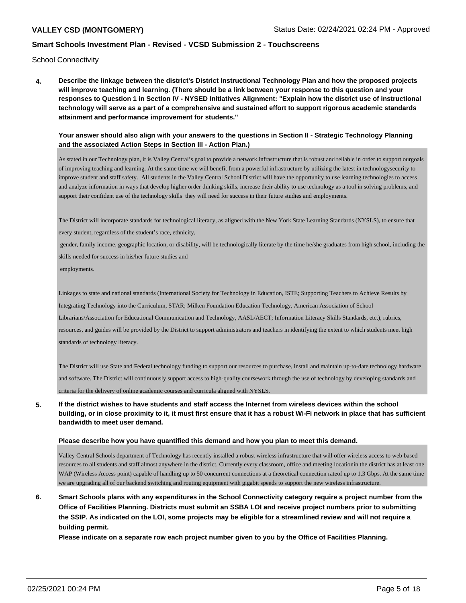School Connectivity

**4. Describe the linkage between the district's District Instructional Technology Plan and how the proposed projects will improve teaching and learning. (There should be a link between your response to this question and your responses to Question 1 in Section IV - NYSED Initiatives Alignment: "Explain how the district use of instructional technology will serve as a part of a comprehensive and sustained effort to support rigorous academic standards attainment and performance improvement for students."** 

**Your answer should also align with your answers to the questions in Section II - Strategic Technology Planning and the associated Action Steps in Section III - Action Plan.)**

As stated in our Technology plan, it is Valley Central's goal to provide a network infrastructure that is robust and reliable in order to support ourgoals of improving teaching and learning. At the same time we will benefit from a powerful infrastructure by utilizing the latest in technologysecurity to improve student and staff safety. All students in the Valley Central School District will have the opportunity to use learning technologies to access and analyze information in ways that develop higher order thinking skills, increase their ability to use technology as a tool in solving problems, and support their confident use of the technology skills they will need for success in their future studies and employments.

The District will incorporate standards for technological literacy, as aligned with the New York State Learning Standards (NYSLS), to ensure that

every student, regardless of the student's race, ethnicity,

 gender, family income, geographic location, or disability, will be technologically literate by the time he/she graduates from high school, including the skills needed for success in his/her future studies and

employments.

Linkages to state and national standards (International Society for Technology in Education, ISTE; Supporting Teachers to Achieve Results by Integrating Technology into the Curriculum, STAR; Milken Foundation Education Technology, American Association of School Librarians/Association for Educational Communication and Technology, AASL/AECT; Information Literacy Skills Standards, etc.), rubrics, resources, and guides will be provided by the District to support administrators and teachers in identifying the extent to which students meet high standards of technology literacy.

The District will use State and Federal technology funding to support our resources to purchase, install and maintain up-to-date technology hardware and software. The District will continuously support access to high-quality coursework through the use of technology by developing standards and criteria for the delivery of online academic courses and curricula aligned with NYSLS.

**5. If the district wishes to have students and staff access the Internet from wireless devices within the school building, or in close proximity to it, it must first ensure that it has a robust Wi-Fi network in place that has sufficient bandwidth to meet user demand.**

#### **Please describe how you have quantified this demand and how you plan to meet this demand.**

Valley Central Schools department of Technology has recently installed a robust wireless infrastructure that will offer wireless access to web based resources to all students and staff almost anywhere in the district. Currently every classroom, office and meeting locationin the district has at least one WAP (Wireless Access point) capable of handling up to 50 concurrent connections at a theoretical connection rateof up to 1.3 Gbps. At the same time we are upgrading all of our backend switching and routing equipment with gigabit speeds to support the new wireless infrastructure.

**6. Smart Schools plans with any expenditures in the School Connectivity category require a project number from the Office of Facilities Planning. Districts must submit an SSBA LOI and receive project numbers prior to submitting the SSIP. As indicated on the LOI, some projects may be eligible for a streamlined review and will not require a building permit.**

**Please indicate on a separate row each project number given to you by the Office of Facilities Planning.**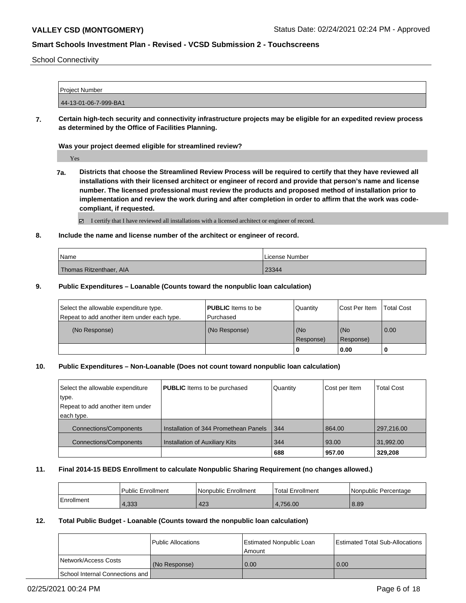School Connectivity

| <b>Project Number</b> |                       |  |
|-----------------------|-----------------------|--|
|                       |                       |  |
|                       |                       |  |
|                       |                       |  |
|                       | 44-13-01-06-7-999-BA1 |  |

**7. Certain high-tech security and connectivity infrastructure projects may be eligible for an expedited review process as determined by the Office of Facilities Planning.**

#### **Was your project deemed eligible for streamlined review?**

Yes

**7a. Districts that choose the Streamlined Review Process will be required to certify that they have reviewed all installations with their licensed architect or engineer of record and provide that person's name and license number. The licensed professional must review the products and proposed method of installation prior to implementation and review the work during and after completion in order to affirm that the work was codecompliant, if requested.**

I certify that I have reviewed all installations with a licensed architect or engineer of record.

#### **8. Include the name and license number of the architect or engineer of record.**

| Name                    | License Number |
|-------------------------|----------------|
| Thomas Ritzenthaer, AIA | 23344          |

#### **9. Public Expenditures – Loanable (Counts toward the nonpublic loan calculation)**

| Select the allowable expenditure type.      | <b>PUBLIC</b> Items to be | Quantity         | Cost Per Item    | <b>Total Cost</b> |
|---------------------------------------------|---------------------------|------------------|------------------|-------------------|
| Repeat to add another item under each type. | l Purchased               |                  |                  |                   |
| (No Response)                               | (No Response)             | (No<br>Response) | (No<br>Response) | $\overline{0.00}$ |
|                                             |                           | Ю                | 0.00             |                   |

#### **10. Public Expenditures – Non-Loanable (Does not count toward nonpublic loan calculation)**

| Select the allowable expenditure | <b>PUBLIC</b> Items to be purchased   | Quantity | Cost per Item | <b>Total Cost</b> |
|----------------------------------|---------------------------------------|----------|---------------|-------------------|
| type.                            |                                       |          |               |                   |
| Repeat to add another item under |                                       |          |               |                   |
| each type.                       |                                       |          |               |                   |
| <b>Connections/Components</b>    | Installation of 344 Promethean Panels | 344      | 864.00        | 297,216.00        |
| <b>Connections/Components</b>    | <b>Installation of Auxiliary Kits</b> | 344      | 93.00         | 31,992.00         |
|                                  |                                       | 688      | 957.00        | 329.208           |

#### **11. Final 2014-15 BEDS Enrollment to calculate Nonpublic Sharing Requirement (no changes allowed.)**

|            | Public Enrollment | l Nonpublic Enrollment | <b>Total Enrollment</b> | Nonpublic Percentage |
|------------|-------------------|------------------------|-------------------------|----------------------|
| Enrollment | 4,333             | 423                    | 4.756.00                | 8.89                 |

## **12. Total Public Budget - Loanable (Counts toward the nonpublic loan calculation)**

|                                 | Public Allocations | Estimated Nonpublic Loan<br>Amount | <b>Estimated Total Sub-Allocations</b> |
|---------------------------------|--------------------|------------------------------------|----------------------------------------|
| Network/Access Costs            | (No Response)      | 0.00                               | 0.00                                   |
| School Internal Connections and |                    |                                    |                                        |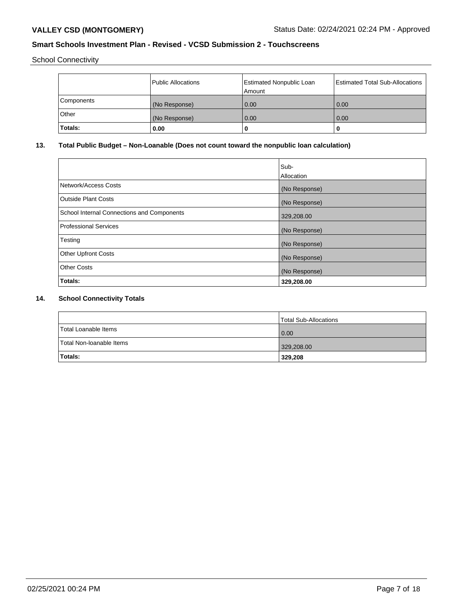School Connectivity

|            | Public Allocations | <b>Estimated Nonpublic Loan</b><br>Amount | Estimated Total Sub-Allocations |
|------------|--------------------|-------------------------------------------|---------------------------------|
| Components | (No Response)      | 0.00                                      | 0.00                            |
| Other      | (No Response)      | 0.00                                      | 0.00                            |
| Totals:    | 0.00               |                                           | 0                               |

## **13. Total Public Budget – Non-Loanable (Does not count toward the nonpublic loan calculation)**

|                                            | Sub-<br>Allocation |
|--------------------------------------------|--------------------|
| Network/Access Costs                       | (No Response)      |
| <b>Outside Plant Costs</b>                 | (No Response)      |
| School Internal Connections and Components | 329,208.00         |
| <b>Professional Services</b>               | (No Response)      |
| Testing                                    | (No Response)      |
| <b>Other Upfront Costs</b>                 | (No Response)      |
| <b>Other Costs</b>                         | (No Response)      |
| Totals:                                    | 329,208.00         |

## **14. School Connectivity Totals**

|                          | Total Sub-Allocations |
|--------------------------|-----------------------|
| Total Loanable Items     | $\overline{0.00}$     |
| Total Non-Ioanable Items | 329,208.00            |
| <b>Totals:</b>           | 329,208               |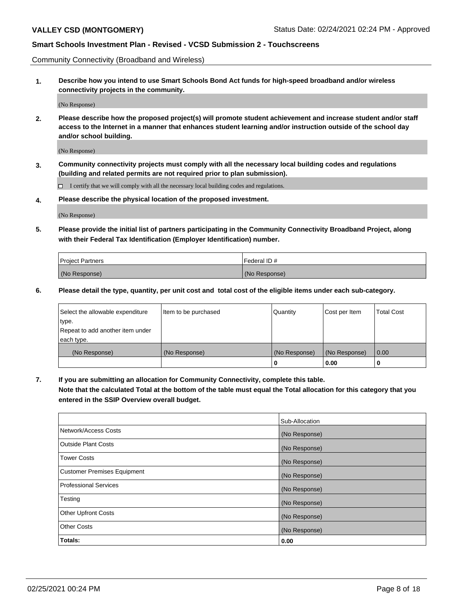Community Connectivity (Broadband and Wireless)

**1. Describe how you intend to use Smart Schools Bond Act funds for high-speed broadband and/or wireless connectivity projects in the community.**

(No Response)

**2. Please describe how the proposed project(s) will promote student achievement and increase student and/or staff access to the Internet in a manner that enhances student learning and/or instruction outside of the school day and/or school building.**

(No Response)

**3. Community connectivity projects must comply with all the necessary local building codes and regulations (building and related permits are not required prior to plan submission).**

 $\Box$  I certify that we will comply with all the necessary local building codes and regulations.

**4. Please describe the physical location of the proposed investment.**

(No Response)

**5. Please provide the initial list of partners participating in the Community Connectivity Broadband Project, along with their Federal Tax Identification (Employer Identification) number.**

| <b>Project Partners</b> | l Federal ID # |
|-------------------------|----------------|
| (No Response)           | (No Response)  |

**6. Please detail the type, quantity, per unit cost and total cost of the eligible items under each sub-category.**

| Select the allowable expenditure | Item to be purchased | Quantity      | Cost per Item | <b>Total Cost</b> |
|----------------------------------|----------------------|---------------|---------------|-------------------|
| type.                            |                      |               |               |                   |
| Repeat to add another item under |                      |               |               |                   |
| each type.                       |                      |               |               |                   |
| (No Response)                    | (No Response)        | (No Response) | (No Response) | 0.00              |
|                                  |                      | o             | 0.00          |                   |

**7. If you are submitting an allocation for Community Connectivity, complete this table.**

**Note that the calculated Total at the bottom of the table must equal the Total allocation for this category that you entered in the SSIP Overview overall budget.**

|                                    | Sub-Allocation |
|------------------------------------|----------------|
| Network/Access Costs               | (No Response)  |
| Outside Plant Costs                | (No Response)  |
| <b>Tower Costs</b>                 | (No Response)  |
| <b>Customer Premises Equipment</b> | (No Response)  |
| <b>Professional Services</b>       | (No Response)  |
| Testing                            | (No Response)  |
| <b>Other Upfront Costs</b>         | (No Response)  |
| <b>Other Costs</b>                 | (No Response)  |
| Totals:                            | 0.00           |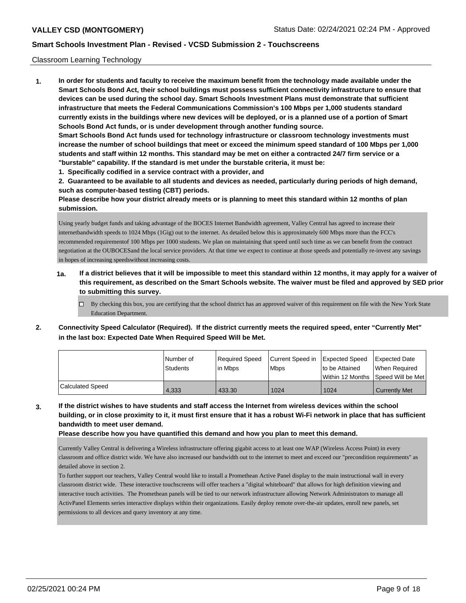#### Classroom Learning Technology

**1. In order for students and faculty to receive the maximum benefit from the technology made available under the Smart Schools Bond Act, their school buildings must possess sufficient connectivity infrastructure to ensure that devices can be used during the school day. Smart Schools Investment Plans must demonstrate that sufficient infrastructure that meets the Federal Communications Commission's 100 Mbps per 1,000 students standard currently exists in the buildings where new devices will be deployed, or is a planned use of a portion of Smart Schools Bond Act funds, or is under development through another funding source. Smart Schools Bond Act funds used for technology infrastructure or classroom technology investments must increase the number of school buildings that meet or exceed the minimum speed standard of 100 Mbps per 1,000 students and staff within 12 months. This standard may be met on either a contracted 24/7 firm service or a "burstable" capability. If the standard is met under the burstable criteria, it must be:**

**1. Specifically codified in a service contract with a provider, and**

**2. Guaranteed to be available to all students and devices as needed, particularly during periods of high demand, such as computer-based testing (CBT) periods.**

**Please describe how your district already meets or is planning to meet this standard within 12 months of plan submission.**

Using yearly budget funds and taking advantage of the BOCES Internet Bandwidth agreement, Valley Central has agreed to increase their internetbandwidth speeds to 1024 Mbps (1Gig) out to the internet. As detailed below this is approximately 600 Mbps more than the FCC's recommended requirementof 100 Mbps per 1000 students. We plan on maintaining that speed until such time as we can benefit from the contract negotiation at the OUBOCESand the local service providers. At that time we expect to continue at those speeds and potentially re-invest any savings in hopes of increasing speedswithout increasing costs.

- **1a. If a district believes that it will be impossible to meet this standard within 12 months, it may apply for a waiver of this requirement, as described on the Smart Schools website. The waiver must be filed and approved by SED prior to submitting this survey.**
	- By checking this box, you are certifying that the school district has an approved waiver of this requirement on file with the New York State Education Department.
- **2. Connectivity Speed Calculator (Required). If the district currently meets the required speed, enter "Currently Met" in the last box: Expected Date When Required Speed Will be Met.**

|                  | l Number of<br><b>Students</b> | Required Speed<br>in Mbps | Current Speed in<br><b>Mbps</b> | Expected Speed<br>to be Attained | <b>Expected Date</b><br>When Required   |
|------------------|--------------------------------|---------------------------|---------------------------------|----------------------------------|-----------------------------------------|
|                  |                                |                           |                                 |                                  | l Within 12 Months ISpeed Will be Met l |
| Calculated Speed | 4.333                          | 433.30                    | 1024                            | 1024                             | Currently Met                           |

**3. If the district wishes to have students and staff access the Internet from wireless devices within the school building, or in close proximity to it, it must first ensure that it has a robust Wi-Fi network in place that has sufficient bandwidth to meet user demand.**

**Please describe how you have quantified this demand and how you plan to meet this demand.**

Currently Valley Central is delivering a Wireless infrastructure offering gigabit access to at least one WAP (Wireless Access Point) in every classroom and office district wide. We have also increased our bandwidth out to the internet to meet and exceed our "precondition requirements" as detailed above in section 2.

To further support our teachers, Valley Central would like to install a Promethean Active Panel display to the main instructional wall in every classroom district wide. These interactive touchscreens will offer teachers a "digital whiteboard" that allows for high definition viewing and interactive touch activities. The Promethean panels will be tied to our network infrastructure allowing Network Administrators to manage all ActivPanel Elements series interactive displays within their organizations. Easily deploy remote over-the-air updates, enroll new panels, set permissions to all devices and query inventory at any time.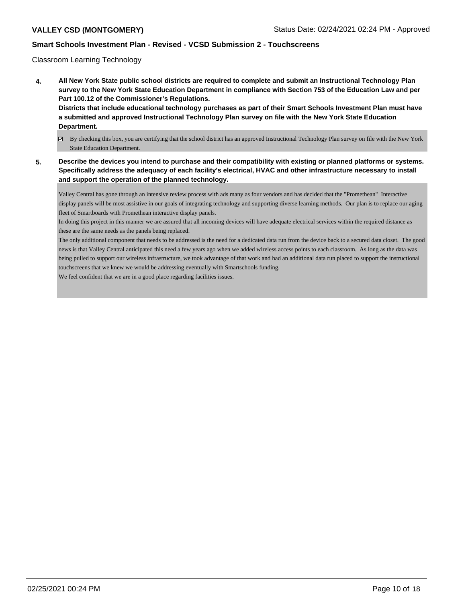#### Classroom Learning Technology

**4. All New York State public school districts are required to complete and submit an Instructional Technology Plan survey to the New York State Education Department in compliance with Section 753 of the Education Law and per Part 100.12 of the Commissioner's Regulations. Districts that include educational technology purchases as part of their Smart Schools Investment Plan must have a submitted and approved Instructional Technology Plan survey on file with the New York State Education**

# **Department.**

- By checking this box, you are certifying that the school district has an approved Instructional Technology Plan survey on file with the New York State Education Department.
- **5. Describe the devices you intend to purchase and their compatibility with existing or planned platforms or systems. Specifically address the adequacy of each facility's electrical, HVAC and other infrastructure necessary to install and support the operation of the planned technology.**

Valley Central has gone through an intensive review process with ads many as four vendors and has decided that the "Promethean" Interactive display panels will be most assistive in our goals of integrating technology and supporting diverse learning methods. Our plan is to replace our aging fleet of Smartboards with Promethean interactive display panels.

In doing this project in this manner we are assured that all incoming devices will have adequate electrical services within the required distance as these are the same needs as the panels being replaced.

The only additional component that needs to be addressed is the need for a dedicated data run from the device back to a secured data closet. The good news is that Valley Central anticipated this need a few years ago when we added wireless access points to each classroom. As long as the data was being pulled to support our wireless infrastructure, we took advantage of that work and had an additional data run placed to support the instructional touchscreens that we knew we would be addressing eventually with Smartschools funding.

We feel confident that we are in a good place regarding facilities issues.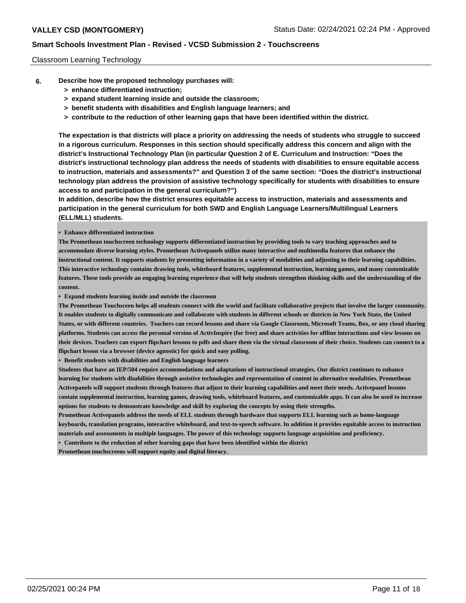#### Classroom Learning Technology

- **6. Describe how the proposed technology purchases will:**
	- **> enhance differentiated instruction;**
	- **> expand student learning inside and outside the classroom;**
	- **> benefit students with disabilities and English language learners; and**
	- **> contribute to the reduction of other learning gaps that have been identified within the district.**

**The expectation is that districts will place a priority on addressing the needs of students who struggle to succeed in a rigorous curriculum. Responses in this section should specifically address this concern and align with the district's Instructional Technology Plan (in particular Question 2 of E. Curriculum and Instruction: "Does the district's instructional technology plan address the needs of students with disabilities to ensure equitable access to instruction, materials and assessments?" and Question 3 of the same section: "Does the district's instructional technology plan address the provision of assistive technology specifically for students with disabilities to ensure access to and participation in the general curriculum?")**

**In addition, describe how the district ensures equitable access to instruction, materials and assessments and participation in the general curriculum for both SWD and English Language Learners/Multilingual Learners (ELL/MLL) students.**

**• Enhance differentiated instruction**

**The Promethean touchscreen technology supports differentiated instruction by providing tools to vary teaching approaches and to accommodate diverse learning styles. Promethean Activepanels utilize many interactive and multimedia features that enhance the instructional content. It supports students by presenting information in a variety of modalities and adjusting to their learning capabilities. This interactive technology contains drawing tools, whiteboard features, supplemental instruction, learning games, and many customizable features. These tools provide an engaging learning experience that will help students strengthen thinking skills and the understanding of the content.**

**• Expand students learning inside and outside the classroom**

**The Promethean Touchsceen helps all students connect with the world and facilitate collaborative projects that involve the larger community. It enables students to digitally communicate and collaborate with students in different schools or districts in New York State, the United States, or with different countries. Teachers can record lessons and share via Google Classroom, Microsoft Teams, Box, or any cloud sharing platforms. Students can access the personal version of ActivInspire (for free) and share activities for offline interactions and view lessons on their devices. Teachers can export flipchart lessons to pdfs and share them via the virtual classroom of their choice. Students can connect to a flipchart lesson via a browser (device agnostic) for quick and easy polling.** 

**• Benefit students with disabilities and English language learners** 

**Students that have an IEP/504 require accommodations and adaptations of instructional strategies. Our district continues to enhance learning for students with disabilities through assistive technologies and representation of content in alternative modalities. Promethean Activepanels will support students through features that adjust to their learning capabilities and meet their needs. Activepanel lessons contain supplemental instruction, learning games, drawing tools, whiteboard features, and customizable apps. It can also be used to increase options for students to demonstrate knowledge and skill by exploring the concepts by using their strengths.**

**Promethean Activepanels address the needs of ELL students through hardware that supports ELL learning such as home-language keyboards, translation programs, interactive whiteboard, and text-to-speech software. In addition it provides equitable access to instruction materials and assessments in multiple languages. The power of this technology supports language acquisition and proficiency.** 

**• Contribute to the reduction of other learning gaps that have been identified within the district Promethean touchscreens will support equity and digital literacy.**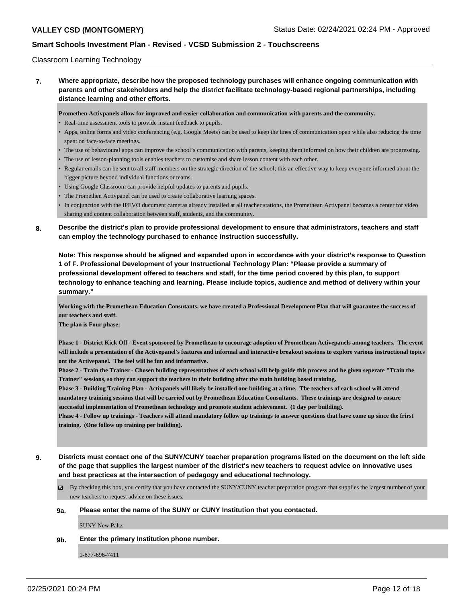#### Classroom Learning Technology

**7. Where appropriate, describe how the proposed technology purchases will enhance ongoing communication with parents and other stakeholders and help the district facilitate technology-based regional partnerships, including distance learning and other efforts.**

**Promethen Activpanels allow for improved and easier collaboration and communication with parents and the community.**

- Real-time assessment tools to provide instant feedback to pupils.
- Apps, online forms and video conferencing (e.g. Google Meets) can be used to keep the lines of communication open while also reducing the time spent on face-to-face meetings.
- The use of behavioural apps can improve the school's communication with parents, keeping them informed on how their children are progressing.
- The use of lesson-planning tools enables teachers to customise and share lesson content with each other.
- Regular emails can be sent to all staff members on the strategic direction of the school; this an effective way to keep everyone informed about the bigger picture beyond individual functions or teams.
- Using Google Classroom can provide helpful updates to parents and pupils.
- The Promethen Activpanel can be used to create collaborative learning spaces.
- In conjunction with the IPEVO ducument cameras already installed at all teacher stations, the Promethean Activpanel becomes a center for video sharing and content collaboration between staff, students, and the community.
- **8. Describe the district's plan to provide professional development to ensure that administrators, teachers and staff can employ the technology purchased to enhance instruction successfully.**

**Note: This response should be aligned and expanded upon in accordance with your district's response to Question 1 of F. Professional Development of your Instructional Technology Plan: "Please provide a summary of professional development offered to teachers and staff, for the time period covered by this plan, to support technology to enhance teaching and learning. Please include topics, audience and method of delivery within your summary."**

**Working with the Promethean Education Consutants, we have created a Professional Development Plan that will guarantee the success of our teachers and staff.** 

**The plan is Four phase:**

**Phase 1 - District Kick Off - Event sponsored by Promethean to encourage adoption of Promethean Activepanels among teachers. The event will include a presentation of the Activepanel's features and informal and interactive breakout sessions to explore various instructional topics ont the Activepanel. The feel will be fun and informative.**

**Phase 2 - Train the Trainer - Chosen building representatives of each school will help guide this process and be given seperate "Train the Trainer" sessions, so they can support the teachers in their building after the main building based training.**

**Phase 3 - Building Training Plan - Activpanels will likely be installed one building at a time. The teachers of each school will attend mandatory traininig sessions that will be carried out by Promethean Education Consultants. These trainings are designed to ensure successful implementation of Promethean technology and promote student achievement. (1 day per building).**

**Phase 4 - Follow up trainings - Teachers will attend mandatory follow up trainings to answer questions that have come up since the frirst training. (One follow up training per building).**

- **9. Districts must contact one of the SUNY/CUNY teacher preparation programs listed on the document on the left side of the page that supplies the largest number of the district's new teachers to request advice on innovative uses and best practices at the intersection of pedagogy and educational technology.**
	- $\boxtimes$  By checking this box, you certify that you have contacted the SUNY/CUNY teacher preparation program that supplies the largest number of your new teachers to request advice on these issues.

#### **9a. Please enter the name of the SUNY or CUNY Institution that you contacted.**

SUNY New Paltz

**9b. Enter the primary Institution phone number.**

1-877-696-7411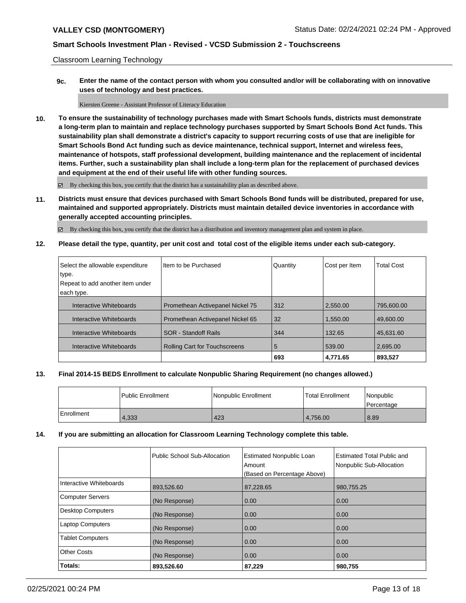Classroom Learning Technology

**9c. Enter the name of the contact person with whom you consulted and/or will be collaborating with on innovative uses of technology and best practices.**

Kiersten Greene - Assistant Professor of Literacy Education

**10. To ensure the sustainability of technology purchases made with Smart Schools funds, districts must demonstrate a long-term plan to maintain and replace technology purchases supported by Smart Schools Bond Act funds. This sustainability plan shall demonstrate a district's capacity to support recurring costs of use that are ineligible for Smart Schools Bond Act funding such as device maintenance, technical support, Internet and wireless fees, maintenance of hotspots, staff professional development, building maintenance and the replacement of incidental items. Further, such a sustainability plan shall include a long-term plan for the replacement of purchased devices and equipment at the end of their useful life with other funding sources.**

By checking this box, you certify that the district has a sustainability plan as described above.

**11. Districts must ensure that devices purchased with Smart Schools Bond funds will be distributed, prepared for use, maintained and supported appropriately. Districts must maintain detailed device inventories in accordance with generally accepted accounting principles.**

By checking this box, you certify that the district has a distribution and inventory management plan and system in place.

**12. Please detail the type, quantity, per unit cost and total cost of the eligible items under each sub-category.**

| Select the allowable expenditure<br>type.<br>Repeat to add another item under<br>each type. | Item to be Purchased             | Quantity | Cost per Item | <b>Total Cost</b> |
|---------------------------------------------------------------------------------------------|----------------------------------|----------|---------------|-------------------|
| Interactive Whiteboards                                                                     | Promethean Activepanel Nickel 75 | 312      | 2.550.00      | 795,600.00        |
| Interactive Whiteboards                                                                     | Promethean Activepanel Nickel 65 | 32       | 1.550.00      | 49.600.00         |
| Interactive Whiteboards                                                                     | <b>SOR</b> - Standoff Rails      | 344      | 132.65        | 45,631.60         |
| Interactive Whiteboards                                                                     | Rolling Cart for Touchscreens    | 5        | 539.00        | 2.695.00          |
|                                                                                             |                                  | 693      | 4,771.65      | 893,527           |

### **13. Final 2014-15 BEDS Enrollment to calculate Nonpublic Sharing Requirement (no changes allowed.)**

|            | Public Enrollment | l Nonpublic Enrollment | <b>Total Enrollment</b> | <i>Nonpublic</i><br><b>Percentage</b> |
|------------|-------------------|------------------------|-------------------------|---------------------------------------|
| Enrollment | 4,333             | 423                    | 4.756.00                | 8.89                                  |

#### **14. If you are submitting an allocation for Classroom Learning Technology complete this table.**

|                          | Public School Sub-Allocation | <b>Estimated Nonpublic Loan</b><br>Amount<br>(Based on Percentage Above) | Estimated Total Public and<br>Nonpublic Sub-Allocation |
|--------------------------|------------------------------|--------------------------------------------------------------------------|--------------------------------------------------------|
| Interactive Whiteboards  | 893,526.60                   | 87,228.65                                                                | 980,755.25                                             |
| <b>Computer Servers</b>  | (No Response)                | 0.00                                                                     | 0.00                                                   |
| <b>Desktop Computers</b> | (No Response)                | 0.00                                                                     | 0.00                                                   |
| <b>Laptop Computers</b>  | (No Response)                | 0.00                                                                     | 0.00                                                   |
| <b>Tablet Computers</b>  | (No Response)                | 0.00                                                                     | 0.00                                                   |
| <b>Other Costs</b>       | (No Response)                | 0.00                                                                     | 0.00                                                   |
| Totals:                  | 893,526.60                   | 87,229                                                                   | 980,755                                                |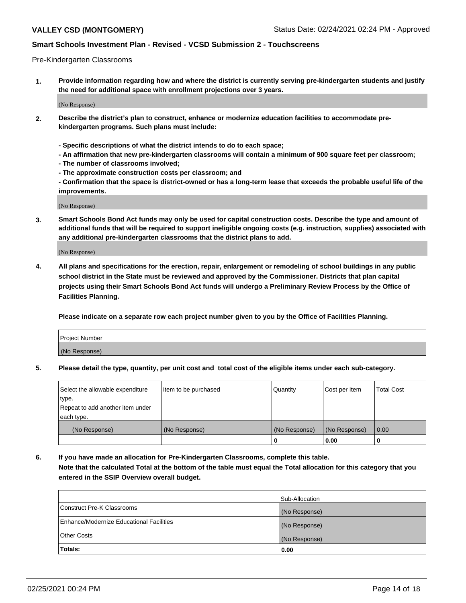#### Pre-Kindergarten Classrooms

**1. Provide information regarding how and where the district is currently serving pre-kindergarten students and justify the need for additional space with enrollment projections over 3 years.**

(No Response)

- **2. Describe the district's plan to construct, enhance or modernize education facilities to accommodate prekindergarten programs. Such plans must include:**
	- **Specific descriptions of what the district intends to do to each space;**
	- **An affirmation that new pre-kindergarten classrooms will contain a minimum of 900 square feet per classroom;**
	- **The number of classrooms involved;**
	- **The approximate construction costs per classroom; and**
	- **Confirmation that the space is district-owned or has a long-term lease that exceeds the probable useful life of the improvements.**

(No Response)

**3. Smart Schools Bond Act funds may only be used for capital construction costs. Describe the type and amount of additional funds that will be required to support ineligible ongoing costs (e.g. instruction, supplies) associated with any additional pre-kindergarten classrooms that the district plans to add.**

(No Response)

**4. All plans and specifications for the erection, repair, enlargement or remodeling of school buildings in any public school district in the State must be reviewed and approved by the Commissioner. Districts that plan capital projects using their Smart Schools Bond Act funds will undergo a Preliminary Review Process by the Office of Facilities Planning.**

**Please indicate on a separate row each project number given to you by the Office of Facilities Planning.**

| Project Number |  |
|----------------|--|
| (No Response)  |  |
|                |  |

**5. Please detail the type, quantity, per unit cost and total cost of the eligible items under each sub-category.**

| Select the allowable expenditure | Item to be purchased | Quantity      | Cost per Item | <b>Total Cost</b> |
|----------------------------------|----------------------|---------------|---------------|-------------------|
| type.                            |                      |               |               |                   |
| Repeat to add another item under |                      |               |               |                   |
| each type.                       |                      |               |               |                   |
| (No Response)                    | (No Response)        | (No Response) | (No Response) | 0.00              |
|                                  |                      | U             | 0.00          |                   |

**6. If you have made an allocation for Pre-Kindergarten Classrooms, complete this table. Note that the calculated Total at the bottom of the table must equal the Total allocation for this category that you entered in the SSIP Overview overall budget.**

|                                          | Sub-Allocation |
|------------------------------------------|----------------|
| Construct Pre-K Classrooms               | (No Response)  |
| Enhance/Modernize Educational Facilities | (No Response)  |
| <b>Other Costs</b>                       | (No Response)  |
| Totals:                                  | 0.00           |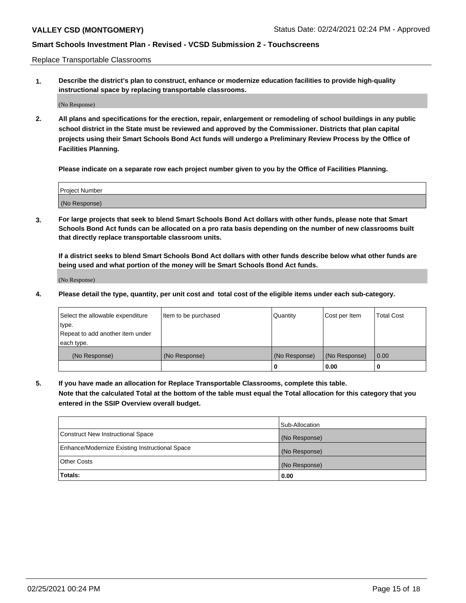Replace Transportable Classrooms

**1. Describe the district's plan to construct, enhance or modernize education facilities to provide high-quality instructional space by replacing transportable classrooms.**

(No Response)

**2. All plans and specifications for the erection, repair, enlargement or remodeling of school buildings in any public school district in the State must be reviewed and approved by the Commissioner. Districts that plan capital projects using their Smart Schools Bond Act funds will undergo a Preliminary Review Process by the Office of Facilities Planning.**

**Please indicate on a separate row each project number given to you by the Office of Facilities Planning.**

| Project Number |  |
|----------------|--|
|                |  |
| (No Response)  |  |

**3. For large projects that seek to blend Smart Schools Bond Act dollars with other funds, please note that Smart Schools Bond Act funds can be allocated on a pro rata basis depending on the number of new classrooms built that directly replace transportable classroom units.**

**If a district seeks to blend Smart Schools Bond Act dollars with other funds describe below what other funds are being used and what portion of the money will be Smart Schools Bond Act funds.**

(No Response)

**4. Please detail the type, quantity, per unit cost and total cost of the eligible items under each sub-category.**

| Select the allowable expenditure | Item to be purchased | Quantity      | Cost per Item | Total Cost |
|----------------------------------|----------------------|---------------|---------------|------------|
| ∣type.                           |                      |               |               |            |
| Repeat to add another item under |                      |               |               |            |
| each type.                       |                      |               |               |            |
| (No Response)                    | (No Response)        | (No Response) | (No Response) | 0.00       |
|                                  |                      | u             | 0.00          |            |

**5. If you have made an allocation for Replace Transportable Classrooms, complete this table. Note that the calculated Total at the bottom of the table must equal the Total allocation for this category that you entered in the SSIP Overview overall budget.**

|                                                | Sub-Allocation |
|------------------------------------------------|----------------|
| Construct New Instructional Space              | (No Response)  |
| Enhance/Modernize Existing Instructional Space | (No Response)  |
| <b>Other Costs</b>                             | (No Response)  |
| Totals:                                        | 0.00           |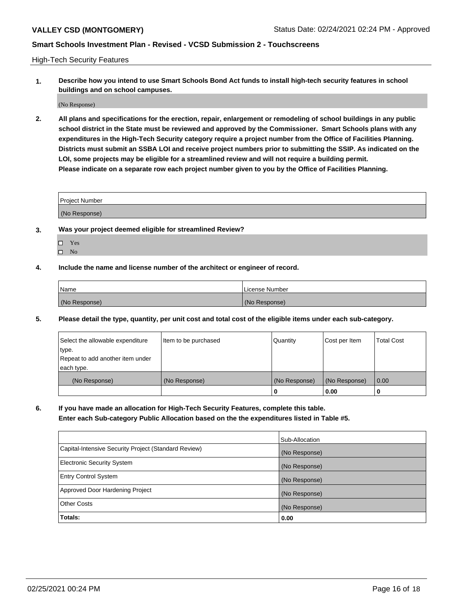High-Tech Security Features

**1. Describe how you intend to use Smart Schools Bond Act funds to install high-tech security features in school buildings and on school campuses.**

(No Response)

**2. All plans and specifications for the erection, repair, enlargement or remodeling of school buildings in any public school district in the State must be reviewed and approved by the Commissioner. Smart Schools plans with any expenditures in the High-Tech Security category require a project number from the Office of Facilities Planning. Districts must submit an SSBA LOI and receive project numbers prior to submitting the SSIP. As indicated on the LOI, some projects may be eligible for a streamlined review and will not require a building permit. Please indicate on a separate row each project number given to you by the Office of Facilities Planning.**

| <b>Project Number</b> |  |
|-----------------------|--|
| (No Response)         |  |

- **3. Was your project deemed eligible for streamlined Review?**
	- Yes
	- $\hfill \square$  No
- **4. Include the name and license number of the architect or engineer of record.**

| Name          | License Number |
|---------------|----------------|
| (No Response) | (No Response)  |

**5. Please detail the type, quantity, per unit cost and total cost of the eligible items under each sub-category.**

| Select the allowable expenditure | Item to be purchased | Quantity      | Cost per Item | <b>Total Cost</b> |
|----------------------------------|----------------------|---------------|---------------|-------------------|
| 'type.                           |                      |               |               |                   |
| Repeat to add another item under |                      |               |               |                   |
| each type.                       |                      |               |               |                   |
| (No Response)                    | (No Response)        | (No Response) | (No Response) | 0.00              |
|                                  |                      | U             | 0.00          |                   |

**6. If you have made an allocation for High-Tech Security Features, complete this table.**

**Enter each Sub-category Public Allocation based on the the expenditures listed in Table #5.**

|                                                      | Sub-Allocation |
|------------------------------------------------------|----------------|
| Capital-Intensive Security Project (Standard Review) | (No Response)  |
| <b>Electronic Security System</b>                    | (No Response)  |
| <b>Entry Control System</b>                          | (No Response)  |
| Approved Door Hardening Project                      | (No Response)  |
| <b>Other Costs</b>                                   | (No Response)  |
| Totals:                                              | 0.00           |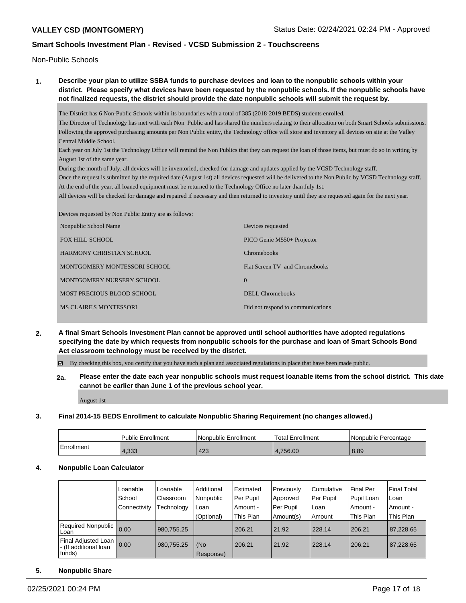Non-Public Schools

# **1. Describe your plan to utilize SSBA funds to purchase devices and loan to the nonpublic schools within your district. Please specify what devices have been requested by the nonpublic schools. If the nonpublic schools have not finalized requests, the district should provide the date nonpublic schools will submit the request by.** The District has 6 Non-Public Schools within its boundaries with a total of 385 (2018-2019 BEDS) students enrolled. The Director of Technology has met with each Non Public and has shared the numbers relating to their allocation on both Smart Schools submissions. Following the approved purchasing amounts per Non Public entity, the Technology office will store and inventory all devices on site at the Valley Central Middle School. Each year on July 1st the Technology Office will remind the Non Publics that they can request the loan of those items, but must do so in writing by August 1st of the same year. During the month of July, all devices will be inventoried, checked for damage and updates applied by the VCSD Technology staff. Once the request is submitted by the required date (August 1st) all devices requested will be delivered to the Non Public by VCSD Technology staff. At the end of the year, all loaned equipment must be returned to the Technology Office no later than July 1st. All devices will be checked for damage and repaired if necessary and then returned to inventory until they are requested again for the next year. Devices requested by Non Public Entity are as follows: Nonpublic School Name Devices requested

| Nonpublic School Name         | Devices requested                 |
|-------------------------------|-----------------------------------|
| FOX HILL SCHOOL               | PICO Genie M550+ Projector        |
| HARMONY CHRISTIAN SCHOOL      | <b>Chromebooks</b>                |
| MONTGOMERY MONTESSORI SCHOOL  | Flat Screen TV and Chromebooks    |
| MONTGOMERY NURSERY SCHOOL     | $\theta$                          |
| MOST PRECIOUS BLOOD SCHOOL    | DELL Chromebooks                  |
| <b>MS CLAIRE'S MONTESSORI</b> | Did not respond to communications |
|                               |                                   |

## **2. A final Smart Schools Investment Plan cannot be approved until school authorities have adopted regulations specifying the date by which requests from nonpublic schools for the purchase and loan of Smart Schools Bond Act classroom technology must be received by the district.**

By checking this box, you certify that you have such a plan and associated regulations in place that have been made public.

**2a. Please enter the date each year nonpublic schools must request loanable items from the school district. This date cannot be earlier than June 1 of the previous school year.**

August 1st

### **3. Final 2014-15 BEDS Enrollment to calculate Nonpublic Sharing Requirement (no changes allowed.)**

|            | l Public Enrollment | Nonpublic Enrollment | Total Enrollment | l Nonpublic Percentage |
|------------|---------------------|----------------------|------------------|------------------------|
| Enrollment | 4.333               | 423                  | 4.756.00         | 8.89                   |

### **4. Nonpublic Loan Calculator**

|                                                                   | Loanable       | Loanable   | Additional       | Estimated | Previously | l Cumulative | <b>Final Per</b> | Final Total |
|-------------------------------------------------------------------|----------------|------------|------------------|-----------|------------|--------------|------------------|-------------|
|                                                                   | School         | Classroom  | Nonpublic        | Per Pupil | Approved   | Per Pupil    | Pupil Loan       | l Loan      |
|                                                                   | l Connectivity | Technology | Loan             | Amount -  | Per Pupil  | l Loan       | Amount -         | Amount -    |
|                                                                   |                |            | (Optional)       | This Plan | Amount(s)  | Amount       | This Plan        | This Plan   |
| Required Nonpublic  <br>l Loan                                    | 0.00           | 980,755.25 |                  | 206.21    | 21.92      | 228.14       | 206.21           | 87,228.65   |
| <b>Final Adjusted Loan I</b><br>- (If additional loan<br>  funds) | 0.00           | 980,755.25 | (No<br>Response) | 206.21    | 21.92      | 228.14       | 206.21           | 87,228.65   |

### **5. Nonpublic Share**